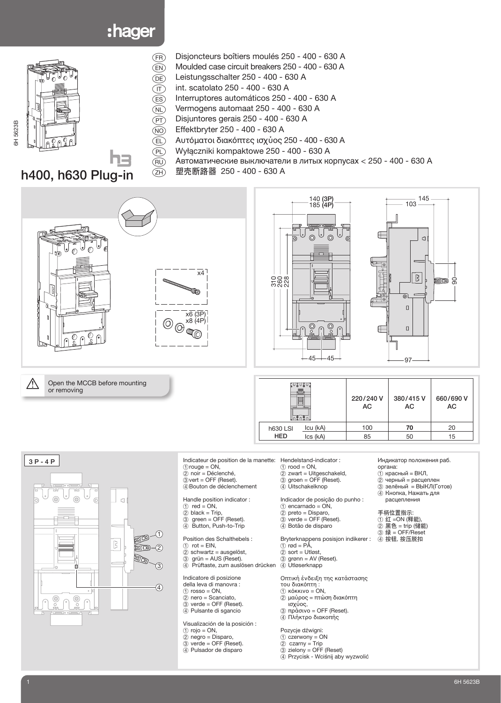# :hager



- a Disjoncteurs boîtiers moulés 250 400 630 A
- $\binom{2}{1}$  Moulded case circuit breakers 250 400 630 A
- e Leistungsschalter 250 400 630 A
- $\overline{(\text{r})}$  int. scatolato 250 400 630 A<br>(ES) Interruptores automáticos 250 -
	- Interruptores automáticos 250 400 630 A
- $\widetilde{\text{N}}$  Vermogens automaat 250 400 630 A
- $(PT)$  Disjuntores gerais 250 400 630 A
- $\widehat{(NO)}$  Effektbryter 250 400 630 A
- u Αυτόµατoι διακόπτες ισχύoς 250 400 630 A
	- m Wyłączniki kompaktowe 250 400 630 A
- $\overline{R}$  Автоматические выключатели в литых корпусах < 250 400 630 A
- n 塑壳断路器 250 400 630 A

x4

 $x6(3P)$ x8 (4P)

œ

## h400, h630 Plug-in



 $\overbrace{N}$  Open the MCCB before mounting or removing





| ⊍໖∪໖∪                       | 220/240 V<br>AC | 380/415V<br>AC | 660/690 V<br>AC |  |
|-----------------------------|-----------------|----------------|-----------------|--|
| Icu (kA)<br><b>h630 LSI</b> | 100             | 70             | 20              |  |
| <b>HED</b><br>Ics (kA)      | 85              | 50             | 15              |  |



Indicateur de position de la manette: Hendelstand-indicator :  $\frac{1}{2}$  indicated:  $\frac{1}{2}$  or  $\frac{1}{2}$  or  $\frac{1}{2}$  or  $\frac{1}{2}$  or  $\frac{1}{2}$  or  $\frac{1}{2}$  or  $\frac{1}{2}$  or  $\frac{1}{2}$  or  $\frac{1}{2}$  or  $\frac{1}{2}$  or  $\frac{1}{2}$  or  $\frac{1}{2}$  or  $\frac{1}{2}$  or  $\frac{1}{2}$  or  $\frac{1}{2}$  or  $\frac{1$ 2 noir = Déclenché,

- $\ddot{\text{3}}$  vert = OFF (Reset). 4Bouton de déclenchement
- Handle position indicator :  $(1)$  red = ON,
- $\overline{2}$  black = Trip,
- 3 green = OFF (Reset). 4 Button, Push-to-Trip
- Position des Schalthebels :
- $(1)$  rot = EIN,
- 2 schwartz = ausgelöst,
- 3 grün = AUS (Reset). 4 Prüftaste, zum auslösen drücken
- Indicatore di posizione
- della leva di manovra :
- $(1)$  rosso = ON,  $(2)$  nero = Scanciato,
- 3 verde = OFF (Reset).
- 4 Pulsante di sgancio

Visualización de la posición :

- $1$  rojo = ON,
- 2 negro = Disparo,
- 3 verde = OFF (Reset).
- 4 Pulsador de disparo
- 
- $\overline{1}$  rood = ON, 2 zwart = Uitgeschakeld,
- 3 groen = OFF (Reset).
- 4 Uitschakelknop

Indicador de posição do punho :  $(1)$  encarnado = ON,

- 2 preto = Disparo,
- verde = OFF (Reset). 3 verde = OFF (Res
- Bryterknappens posisjon indikerer :
- $\circled{\scriptstyle 1}$  rød = PÅ,
- $(2)$  sort = Utløst,
- 3 grønn = AV (Reset). 4 Utløserknapp

Oπτική ένδειξη της κατάστασης τoυ διακόπτη : 1 κόκκινo = ON, 2 μαύρoς = πτώση διακόπτη

- ισχύoς, 3 πράσινo = OFF (Reset).
- 4 Πλήκτρo διακoπής

#### Pozycje dźwigni:

- $1$  czerwony = ON 2 czarny = Trip
- 3 zielony = OFF (Reset)
- 4 Przycisk Wciśnij aby wyzwolić
- Индикатор положения раб.
- органа: 1 красный = ВКЛ,
	- 2 черный = расцеплен
	- 3 зелёный = ВЫКЛ(Готов)
- 4 Кнопка, Нажать для расцепления
- 手柄位置指示:
- ① 红 =ON (释能)
- 2 黑色 = trip (储能)
- 3 绿 = OFF/Reset
- 4 按钮, 按压脱扣

# 3H 5623B 6H 5623B